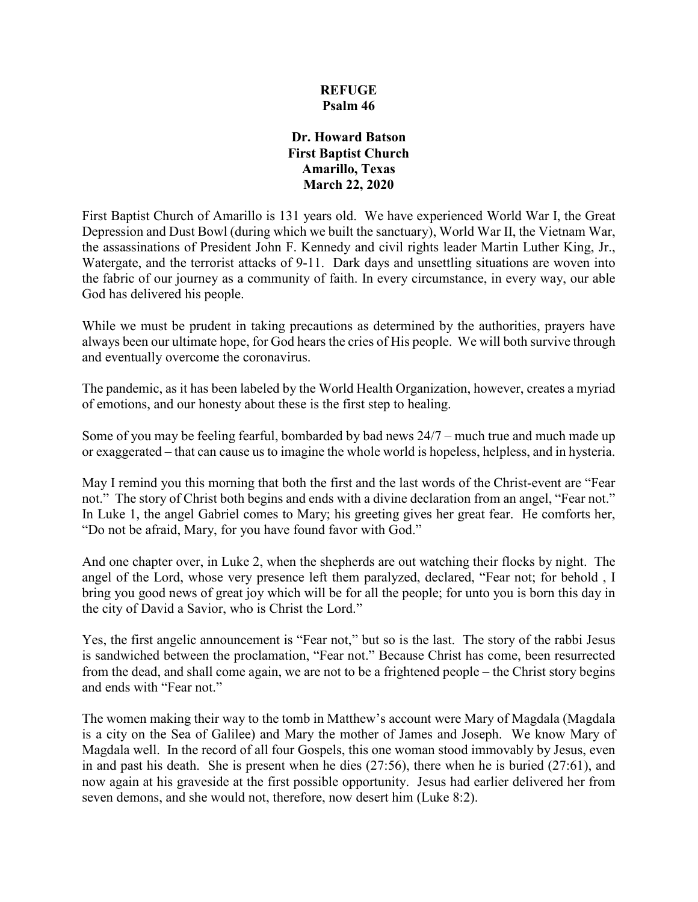### **REFUGE Psalm 46**

#### **Dr. Howard Batson First Baptist Church Amarillo, Texas March 22, 2020**

First Baptist Church of Amarillo is 131 years old. We have experienced World War I, the Great Depression and Dust Bowl (during which we built the sanctuary), World War II, the Vietnam War, the assassinations of President John F. Kennedy and civil rights leader Martin Luther King, Jr., Watergate, and the terrorist attacks of 9-11. Dark days and unsettling situations are woven into the fabric of our journey as a community of faith. In every circumstance, in every way, our able God has delivered his people.

While we must be prudent in taking precautions as determined by the authorities, prayers have always been our ultimate hope, for God hears the cries of His people. We will both survive through and eventually overcome the coronavirus.

The pandemic, as it has been labeled by the World Health Organization, however, creates a myriad of emotions, and our honesty about these is the first step to healing.

Some of you may be feeling fearful, bombarded by bad news 24/7 – much true and much made up or exaggerated – that can cause us to imagine the whole world is hopeless, helpless, and in hysteria.

May I remind you this morning that both the first and the last words of the Christ-event are "Fear not." The story of Christ both begins and ends with a divine declaration from an angel, "Fear not." In Luke 1, the angel Gabriel comes to Mary; his greeting gives her great fear. He comforts her, "Do not be afraid, Mary, for you have found favor with God."

And one chapter over, in Luke 2, when the shepherds are out watching their flocks by night. The angel of the Lord, whose very presence left them paralyzed, declared, "Fear not; for behold , I bring you good news of great joy which will be for all the people; for unto you is born this day in the city of David a Savior, who is Christ the Lord."

Yes, the first angelic announcement is "Fear not," but so is the last. The story of the rabbi Jesus is sandwiched between the proclamation, "Fear not." Because Christ has come, been resurrected from the dead, and shall come again, we are not to be a frightened people – the Christ story begins and ends with "Fear not."

The women making their way to the tomb in Matthew's account were Mary of Magdala (Magdala is a city on the Sea of Galilee) and Mary the mother of James and Joseph. We know Mary of Magdala well. In the record of all four Gospels, this one woman stood immovably by Jesus, even in and past his death. She is present when he dies (27:56), there when he is buried (27:61), and now again at his graveside at the first possible opportunity. Jesus had earlier delivered her from seven demons, and she would not, therefore, now desert him (Luke 8:2).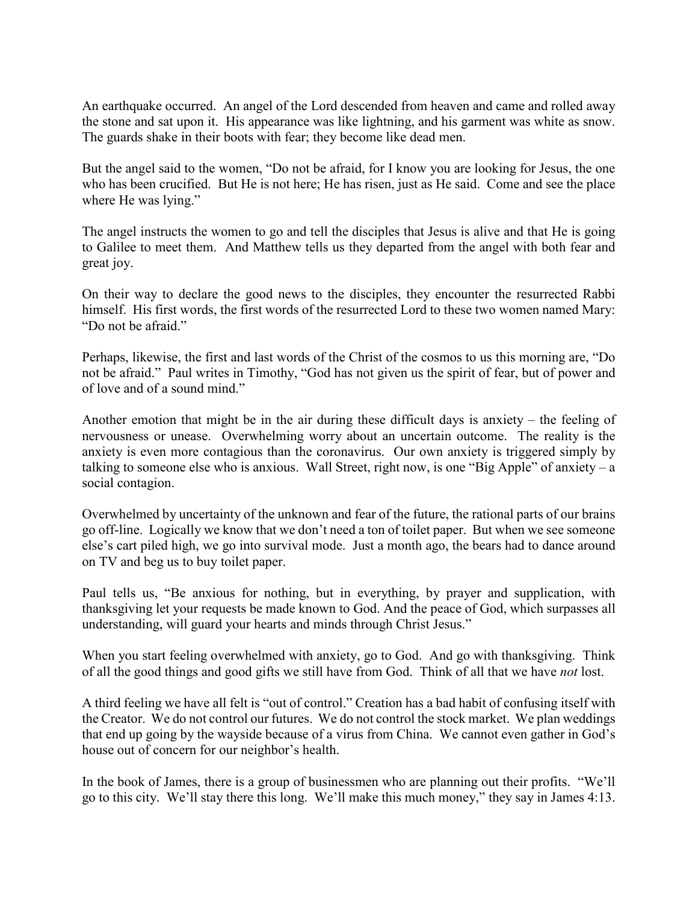An earthquake occurred. An angel of the Lord descended from heaven and came and rolled away the stone and sat upon it. His appearance was like lightning, and his garment was white as snow. The guards shake in their boots with fear; they become like dead men.

But the angel said to the women, "Do not be afraid, for I know you are looking for Jesus, the one who has been crucified. But He is not here; He has risen, just as He said. Come and see the place where He was lying."

The angel instructs the women to go and tell the disciples that Jesus is alive and that He is going to Galilee to meet them. And Matthew tells us they departed from the angel with both fear and great joy.

On their way to declare the good news to the disciples, they encounter the resurrected Rabbi himself. His first words, the first words of the resurrected Lord to these two women named Mary: "Do not be afraid."

Perhaps, likewise, the first and last words of the Christ of the cosmos to us this morning are, "Do not be afraid." Paul writes in Timothy, "God has not given us the spirit of fear, but of power and of love and of a sound mind."

Another emotion that might be in the air during these difficult days is anxiety – the feeling of nervousness or unease. Overwhelming worry about an uncertain outcome. The reality is the anxiety is even more contagious than the coronavirus. Our own anxiety is triggered simply by talking to someone else who is anxious. Wall Street, right now, is one "Big Apple" of anxiety – a social contagion.

Overwhelmed by uncertainty of the unknown and fear of the future, the rational parts of our brains go off-line. Logically we know that we don't need a ton of toilet paper. But when we see someone else's cart piled high, we go into survival mode. Just a month ago, the bears had to dance around on TV and beg us to buy toilet paper.

Paul tells us, "Be anxious for nothing, but in everything, by prayer and supplication, with thanksgiving let your requests be made known to God. And the peace of God, which surpasses all understanding, will guard your hearts and minds through Christ Jesus."

When you start feeling overwhelmed with anxiety, go to God. And go with thanksgiving. Think of all the good things and good gifts we still have from God. Think of all that we have *not* lost.

A third feeling we have all felt is "out of control." Creation has a bad habit of confusing itself with the Creator. We do not control our futures. We do not control the stock market. We plan weddings that end up going by the wayside because of a virus from China. We cannot even gather in God's house out of concern for our neighbor's health.

In the book of James, there is a group of businessmen who are planning out their profits. "We'll go to this city. We'll stay there this long. We'll make this much money," they say in James 4:13.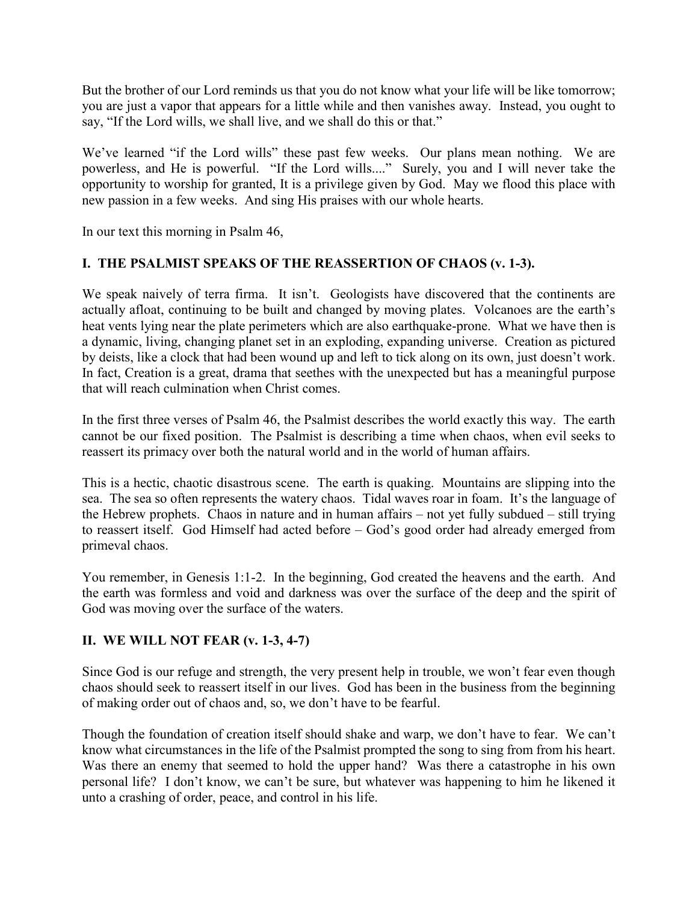But the brother of our Lord reminds us that you do not know what your life will be like tomorrow; you are just a vapor that appears for a little while and then vanishes away. Instead, you ought to say, "If the Lord wills, we shall live, and we shall do this or that."

We've learned "if the Lord wills" these past few weeks. Our plans mean nothing. We are powerless, and He is powerful. "If the Lord wills...." Surely, you and I will never take the opportunity to worship for granted, It is a privilege given by God. May we flood this place with new passion in a few weeks. And sing His praises with our whole hearts.

In our text this morning in Psalm 46,

## **I. THE PSALMIST SPEAKS OF THE REASSERTION OF CHAOS (v. 1-3).**

We speak naively of terra firma. It isn't. Geologists have discovered that the continents are actually afloat, continuing to be built and changed by moving plates. Volcanoes are the earth's heat vents lying near the plate perimeters which are also earthquake-prone. What we have then is a dynamic, living, changing planet set in an exploding, expanding universe. Creation as pictured by deists, like a clock that had been wound up and left to tick along on its own, just doesn't work. In fact, Creation is a great, drama that seethes with the unexpected but has a meaningful purpose that will reach culmination when Christ comes.

In the first three verses of Psalm 46, the Psalmist describes the world exactly this way. The earth cannot be our fixed position. The Psalmist is describing a time when chaos, when evil seeks to reassert its primacy over both the natural world and in the world of human affairs.

This is a hectic, chaotic disastrous scene. The earth is quaking. Mountains are slipping into the sea. The sea so often represents the watery chaos. Tidal waves roar in foam. It's the language of the Hebrew prophets. Chaos in nature and in human affairs – not yet fully subdued – still trying to reassert itself. God Himself had acted before – God's good order had already emerged from primeval chaos.

You remember, in Genesis 1:1-2. In the beginning, God created the heavens and the earth. And the earth was formless and void and darkness was over the surface of the deep and the spirit of God was moving over the surface of the waters.

### **II. WE WILL NOT FEAR (v. 1-3, 4-7)**

Since God is our refuge and strength, the very present help in trouble, we won't fear even though chaos should seek to reassert itself in our lives. God has been in the business from the beginning of making order out of chaos and, so, we don't have to be fearful.

Though the foundation of creation itself should shake and warp, we don't have to fear. We can't know what circumstances in the life of the Psalmist prompted the song to sing from from his heart. Was there an enemy that seemed to hold the upper hand? Was there a catastrophe in his own personal life? I don't know, we can't be sure, but whatever was happening to him he likened it unto a crashing of order, peace, and control in his life.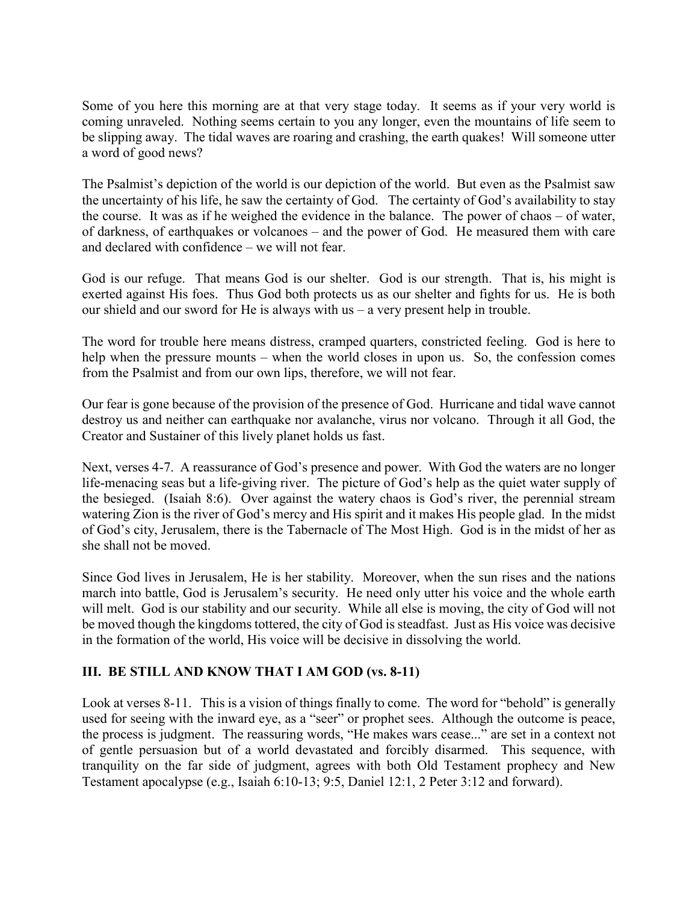Some of you here this morning are at that very stage today. It seems as if your very world is coming unraveled. Nothing seems certain to you any longer, even the mountains of life seem to be slipping away. The tidal waves are roaring and crashing, the earth quakes! Will someone utter a word of good news?

The Psalmist's depiction of the world is our depiction of the world. But even as the Psalmist saw the uncertainty of his life, he saw the certainty of God. The certainty of God's availability to stay the course. It was as if he weighed the evidence in the balance. The power of chaos – of water, of darkness, of earthquakes or volcanoes – and the power of God. He measured them with care and declared with confidence – we will not fear.

God is our refuge. That means God is our shelter. God is our strength. That is, his might is exerted against His foes. Thus God both protects us as our shelter and fights for us. He is both our shield and our sword for He is always with us – a very present help in trouble.

The word for trouble here means distress, cramped quarters, constricted feeling. God is here to help when the pressure mounts – when the world closes in upon us. So, the confession comes from the Psalmist and from our own lips, therefore, we will not fear.

Our fear is gone because of the provision of the presence of God. Hurricane and tidal wave cannot destroy us and neither can earthquake nor avalanche, virus nor volcano. Through it all God, the Creator and Sustainer of this lively planet holds us fast.

Next, verses 4-7. A reassurance of God's presence and power. With God the waters are no longer life-menacing seas but a life-giving river. The picture of God's help as the quiet water supply of the besieged. (Isaiah 8:6). Over against the watery chaos is God's river, the perennial stream watering Zion is the river of God's mercy and His spirit and it makes His people glad. In the midst of God's city, Jerusalem, there is the Tabernacle of The Most High. God is in the midst of her as she shall not be moved.

Since God lives in Jerusalem, He is her stability. Moreover, when the sun rises and the nations march into battle, God is Jerusalem's security. He need only utter his voice and the whole earth will melt. God is our stability and our security. While all else is moving, the city of God will not be moved though the kingdoms tottered, the city of God is steadfast. Just as His voice was decisive in the formation of the world, His voice will be decisive in dissolving the world.

# **III. BE STILL AND KNOW THAT I AM GOD (vs. 8-11)**

Look at verses 8-11. This is a vision of things finally to come. The word for "behold" is generally used for seeing with the inward eye, as a "seer" or prophet sees. Although the outcome is peace, the process is judgment. The reassuring words, "He makes wars cease..." are set in a context not of gentle persuasion but of a world devastated and forcibly disarmed. This sequence, with tranquility on the far side of judgment, agrees with both Old Testament prophecy and New Testament apocalypse (e.g., Isaiah 6:10-13; 9:5, Daniel 12:1, 2 Peter 3:12 and forward).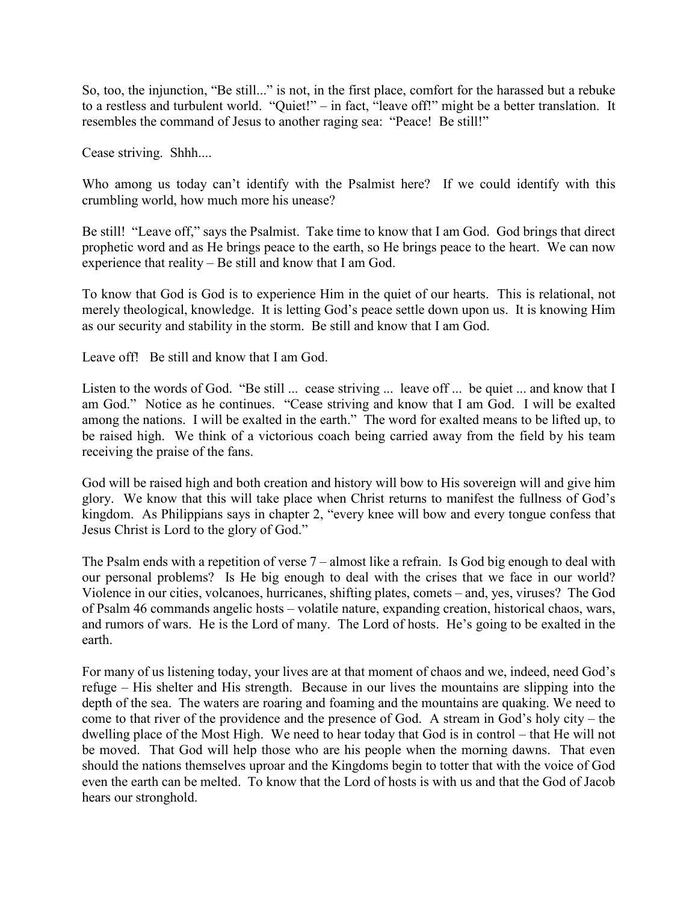So, too, the injunction, "Be still..." is not, in the first place, comfort for the harassed but a rebuke to a restless and turbulent world. "Quiet!" – in fact, "leave off!" might be a better translation. It resembles the command of Jesus to another raging sea: "Peace! Be still!"

Cease striving. Shhh....

Who among us today can't identify with the Psalmist here? If we could identify with this crumbling world, how much more his unease?

Be still! "Leave off," says the Psalmist. Take time to know that I am God. God brings that direct prophetic word and as He brings peace to the earth, so He brings peace to the heart. We can now experience that reality – Be still and know that I am God.

To know that God is God is to experience Him in the quiet of our hearts. This is relational, not merely theological, knowledge. It is letting God's peace settle down upon us. It is knowing Him as our security and stability in the storm. Be still and know that I am God.

Leave off! Be still and know that I am God.

Listen to the words of God. "Be still ... cease striving ... leave off ... be quiet ... and know that I am God." Notice as he continues. "Cease striving and know that I am God. I will be exalted among the nations. I will be exalted in the earth." The word for exalted means to be lifted up, to be raised high. We think of a victorious coach being carried away from the field by his team receiving the praise of the fans.

God will be raised high and both creation and history will bow to His sovereign will and give him glory. We know that this will take place when Christ returns to manifest the fullness of God's kingdom. As Philippians says in chapter 2, "every knee will bow and every tongue confess that Jesus Christ is Lord to the glory of God."

The Psalm ends with a repetition of verse 7 – almost like a refrain. Is God big enough to deal with our personal problems? Is He big enough to deal with the crises that we face in our world? Violence in our cities, volcanoes, hurricanes, shifting plates, comets – and, yes, viruses? The God of Psalm 46 commands angelic hosts – volatile nature, expanding creation, historical chaos, wars, and rumors of wars. He is the Lord of many. The Lord of hosts. He's going to be exalted in the earth.

For many of us listening today, your lives are at that moment of chaos and we, indeed, need God's refuge – His shelter and His strength. Because in our lives the mountains are slipping into the depth of the sea. The waters are roaring and foaming and the mountains are quaking. We need to come to that river of the providence and the presence of God. A stream in God's holy city – the dwelling place of the Most High. We need to hear today that God is in control – that He will not be moved. That God will help those who are his people when the morning dawns. That even should the nations themselves uproar and the Kingdoms begin to totter that with the voice of God even the earth can be melted. To know that the Lord of hosts is with us and that the God of Jacob hears our stronghold.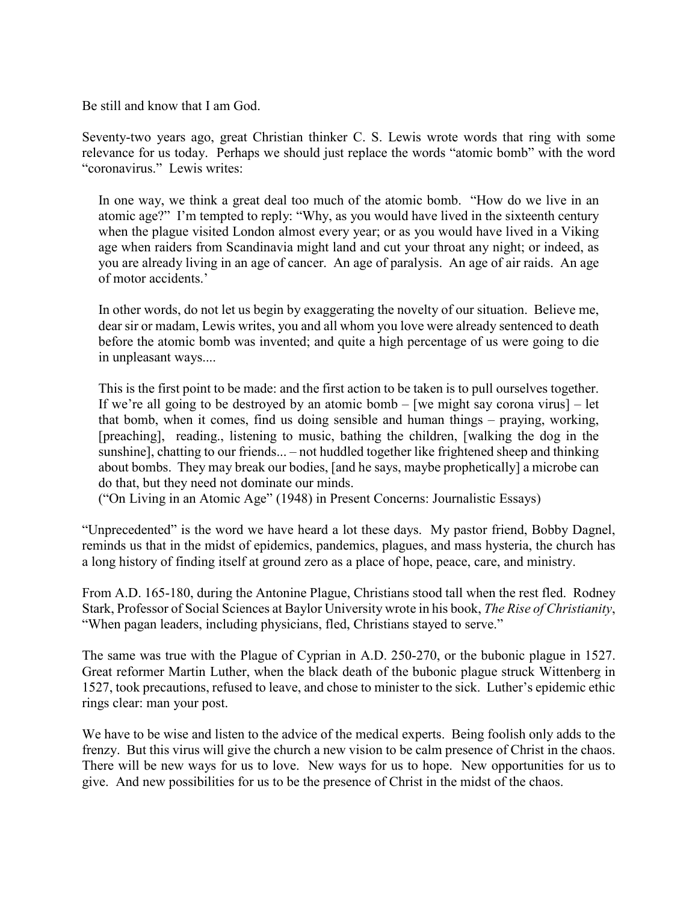Be still and know that I am God.

Seventy-two years ago, great Christian thinker C. S. Lewis wrote words that ring with some relevance for us today. Perhaps we should just replace the words "atomic bomb" with the word "coronavirus." Lewis writes:

In one way, we think a great deal too much of the atomic bomb. "How do we live in an atomic age?" I'm tempted to reply: "Why, as you would have lived in the sixteenth century when the plague visited London almost every year; or as you would have lived in a Viking age when raiders from Scandinavia might land and cut your throat any night; or indeed, as you are already living in an age of cancer. An age of paralysis. An age of air raids. An age of motor accidents.'

In other words, do not let us begin by exaggerating the novelty of our situation. Believe me, dear sir or madam, Lewis writes, you and all whom you love were already sentenced to death before the atomic bomb was invented; and quite a high percentage of us were going to die in unpleasant ways....

This is the first point to be made: and the first action to be taken is to pull ourselves together. If we're all going to be destroyed by an atomic bomb  $-$  [we might say corona virus]  $-$  let that bomb, when it comes, find us doing sensible and human things – praying, working, [preaching], reading., listening to music, bathing the children, [walking the dog in the sunshine], chatting to our friends... – not huddled together like frightened sheep and thinking about bombs. They may break our bodies, [and he says, maybe prophetically] a microbe can do that, but they need not dominate our minds.

("On Living in an Atomic Age" (1948) in Present Concerns: Journalistic Essays)

"Unprecedented" is the word we have heard a lot these days. My pastor friend, Bobby Dagnel, reminds us that in the midst of epidemics, pandemics, plagues, and mass hysteria, the church has a long history of finding itself at ground zero as a place of hope, peace, care, and ministry.

From A.D. 165-180, during the Antonine Plague, Christians stood tall when the rest fled. Rodney Stark, Professor of Social Sciences at Baylor University wrote in his book, *The Rise of Christianity*, "When pagan leaders, including physicians, fled, Christians stayed to serve."

The same was true with the Plague of Cyprian in A.D. 250-270, or the bubonic plague in 1527. Great reformer Martin Luther, when the black death of the bubonic plague struck Wittenberg in 1527, took precautions, refused to leave, and chose to minister to the sick. Luther's epidemic ethic rings clear: man your post.

We have to be wise and listen to the advice of the medical experts. Being foolish only adds to the frenzy. But this virus will give the church a new vision to be calm presence of Christ in the chaos. There will be new ways for us to love. New ways for us to hope. New opportunities for us to give. And new possibilities for us to be the presence of Christ in the midst of the chaos.